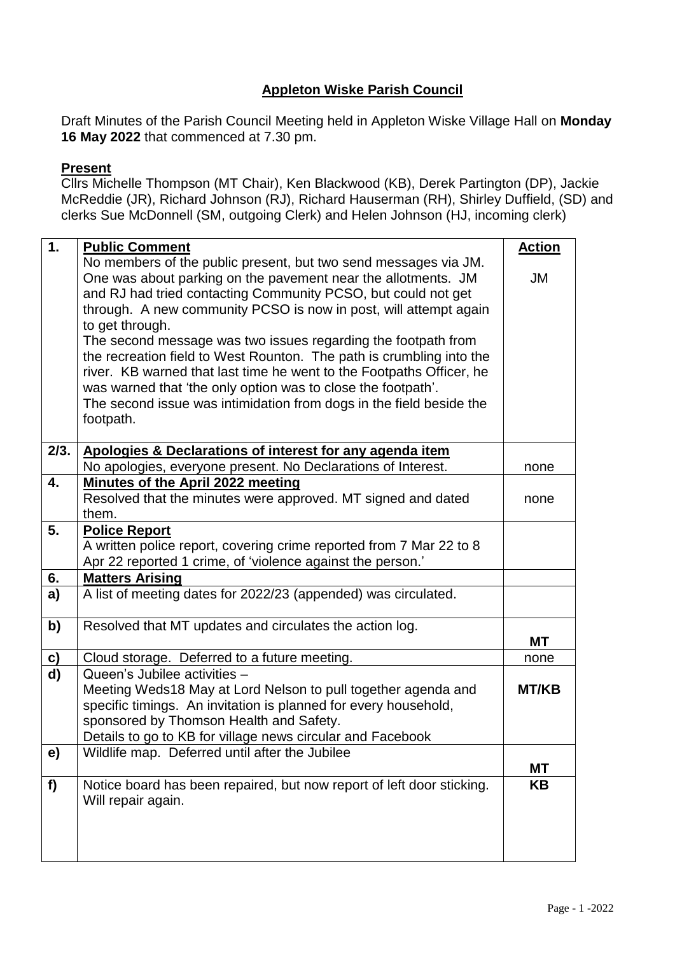### **Appleton Wiske Parish Council**

Draft Minutes of the Parish Council Meeting held in Appleton Wiske Village Hall on **Monday 16 May 2022** that commenced at 7.30 pm.

#### **Present**

Cllrs Michelle Thompson (MT Chair), Ken Blackwood (KB), Derek Partington (DP), Jackie McReddie (JR), Richard Johnson (RJ), Richard Hauserman (RH), Shirley Duffield, (SD) and clerks Sue McDonnell (SM, outgoing Clerk) and Helen Johnson (HJ, incoming clerk)

| 1.        | <b>Public Comment</b>                                                 | <b>Action</b> |
|-----------|-----------------------------------------------------------------------|---------------|
|           | No members of the public present, but two send messages via JM.       |               |
|           | One was about parking on the pavement near the allotments. JM         | <b>JM</b>     |
|           | and RJ had tried contacting Community PCSO, but could not get         |               |
|           | through. A new community PCSO is now in post, will attempt again      |               |
|           | to get through.                                                       |               |
|           | The second message was two issues regarding the footpath from         |               |
|           | the recreation field to West Rounton. The path is crumbling into the  |               |
|           | river. KB warned that last time he went to the Footpaths Officer, he  |               |
|           | was warned that 'the only option was to close the footpath'.          |               |
|           | The second issue was intimidation from dogs in the field beside the   |               |
|           | footpath.                                                             |               |
|           |                                                                       |               |
| 2/3.      | Apologies & Declarations of interest for any agenda item              |               |
|           | No apologies, everyone present. No Declarations of Interest.          | none          |
| 4.        | Minutes of the April 2022 meeting                                     |               |
|           | Resolved that the minutes were approved. MT signed and dated          | none          |
|           | them.                                                                 |               |
| 5.        | <b>Police Report</b>                                                  |               |
|           | A written police report, covering crime reported from 7 Mar 22 to 8   |               |
|           | Apr 22 reported 1 crime, of 'violence against the person.'            |               |
| 6.        | <b>Matters Arising</b>                                                |               |
| a)        | A list of meeting dates for 2022/23 (appended) was circulated.        |               |
| b)        | Resolved that MT updates and circulates the action log.               |               |
|           |                                                                       | МT            |
| <u>c)</u> | Cloud storage. Deferred to a future meeting.                          | none          |
| d)        | Queen's Jubilee activities -                                          |               |
|           | Meeting Weds18 May at Lord Nelson to pull together agenda and         | <b>MT/KB</b>  |
|           | specific timings. An invitation is planned for every household,       |               |
|           | sponsored by Thomson Health and Safety.                               |               |
|           | Details to go to KB for village news circular and Facebook            |               |
|           | Wildlife map. Deferred until after the Jubilee                        |               |
| e)        |                                                                       | МT            |
| f         | Notice board has been repaired, but now report of left door sticking. | KΒ            |
|           | Will repair again.                                                    |               |
|           |                                                                       |               |
|           |                                                                       |               |
|           |                                                                       |               |
|           |                                                                       |               |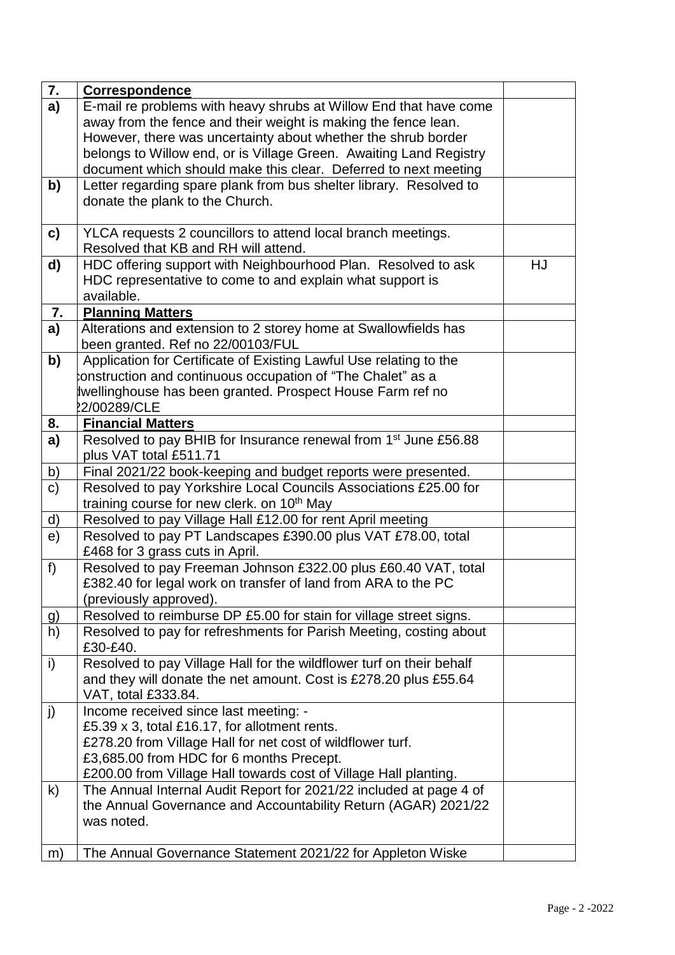| 7.             | <b>Correspondence</b>                                                       |    |
|----------------|-----------------------------------------------------------------------------|----|
| $\overline{a}$ | E-mail re problems with heavy shrubs at Willow End that have come           |    |
|                | away from the fence and their weight is making the fence lean.              |    |
|                | However, there was uncertainty about whether the shrub border               |    |
|                | belongs to Willow end, or is Village Green. Awaiting Land Registry          |    |
|                | document which should make this clear. Deferred to next meeting             |    |
| b)             | Letter regarding spare plank from bus shelter library. Resolved to          |    |
|                | donate the plank to the Church.                                             |    |
|                |                                                                             |    |
| c)             | YLCA requests 2 councillors to attend local branch meetings.                |    |
|                | Resolved that KB and RH will attend.                                        |    |
| d)             | HDC offering support with Neighbourhood Plan. Resolved to ask               | HJ |
|                | HDC representative to come to and explain what support is                   |    |
|                | available.                                                                  |    |
| 7.             | <b>Planning Matters</b>                                                     |    |
| a)             | Alterations and extension to 2 storey home at Swallowfields has             |    |
|                | been granted. Ref no 22/00103/FUL                                           |    |
| b)             | Application for Certificate of Existing Lawful Use relating to the          |    |
|                | construction and continuous occupation of "The Chalet" as a                 |    |
|                | wellinghouse has been granted. Prospect House Farm ref no                   |    |
|                | 22/00289/CLE                                                                |    |
| 8.             | <b>Financial Matters</b>                                                    |    |
| a)             | Resolved to pay BHIB for Insurance renewal from 1 <sup>st</sup> June £56.88 |    |
|                | plus VAT total £511.71                                                      |    |
| b)             | Final 2021/22 book-keeping and budget reports were presented.               |    |
| c)             | Resolved to pay Yorkshire Local Councils Associations £25.00 for            |    |
|                | training course for new clerk. on 10 <sup>th</sup> May                      |    |
| <u>d)</u>      | Resolved to pay Village Hall £12.00 for rent April meeting                  |    |
| e)             | Resolved to pay PT Landscapes £390.00 plus VAT £78.00, total                |    |
|                | £468 for 3 grass cuts in April.                                             |    |
| f)             | Resolved to pay Freeman Johnson £322.00 plus £60.40 VAT, total              |    |
|                | £382.40 for legal work on transfer of land from ARA to the PC               |    |
|                | (previously approved).                                                      |    |
| g)             | Resolved to reimburse DP £5.00 for stain for village street signs.          |    |
| h)             | Resolved to pay for refreshments for Parish Meeting, costing about          |    |
|                | £30-£40.                                                                    |    |
| i)             | Resolved to pay Village Hall for the wildflower turf on their behalf        |    |
|                | and they will donate the net amount. Cost is £278.20 plus £55.64            |    |
|                | VAT, total £333.84.                                                         |    |
| j)             | Income received since last meeting: -                                       |    |
|                | £5.39 x 3, total £16.17, for allotment rents.                               |    |
|                | £278.20 from Village Hall for net cost of wildflower turf.                  |    |
|                | £3,685.00 from HDC for 6 months Precept.                                    |    |
|                | £200.00 from Village Hall towards cost of Village Hall planting.            |    |
| $\mathsf{k}$   | The Annual Internal Audit Report for 2021/22 included at page 4 of          |    |
|                | the Annual Governance and Accountability Return (AGAR) 2021/22              |    |
|                | was noted.                                                                  |    |
|                |                                                                             |    |
| m)             | The Annual Governance Statement 2021/22 for Appleton Wiske                  |    |
|                |                                                                             |    |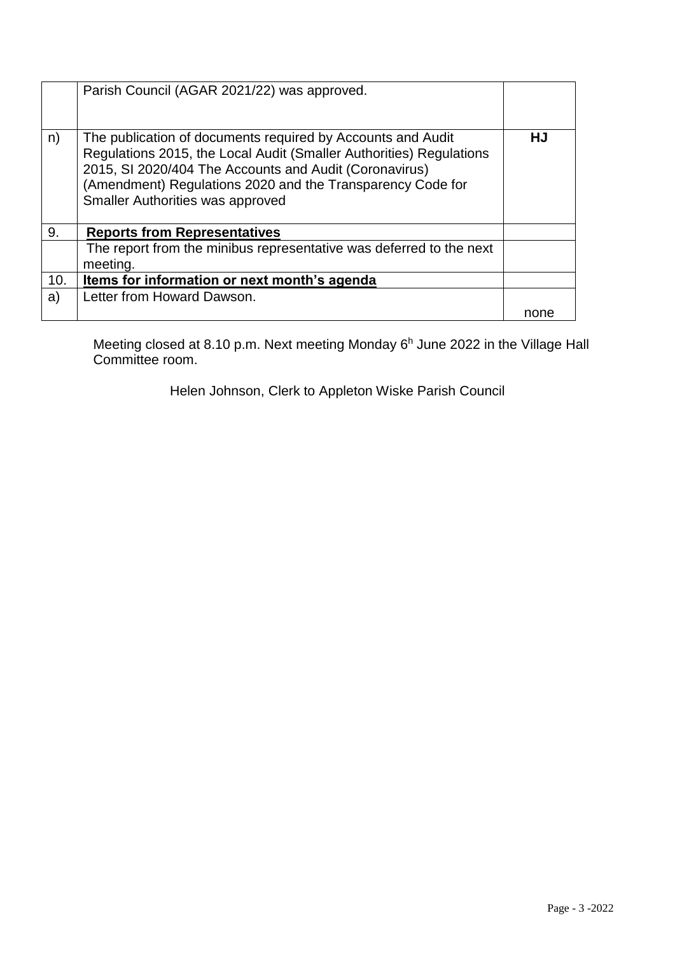|     | Parish Council (AGAR 2021/22) was approved.                                                                                                                                                                                                                                                    |      |
|-----|------------------------------------------------------------------------------------------------------------------------------------------------------------------------------------------------------------------------------------------------------------------------------------------------|------|
| n)  | The publication of documents required by Accounts and Audit<br>Regulations 2015, the Local Audit (Smaller Authorities) Regulations<br>2015, SI 2020/404 The Accounts and Audit (Coronavirus)<br>(Amendment) Regulations 2020 and the Transparency Code for<br>Smaller Authorities was approved | HJ   |
| 9.  | <b>Reports from Representatives</b>                                                                                                                                                                                                                                                            |      |
|     | The report from the minibus representative was deferred to the next<br>meeting.                                                                                                                                                                                                                |      |
| 10. | Items for information or next month's agenda                                                                                                                                                                                                                                                   |      |
| a)  | Letter from Howard Dawson.                                                                                                                                                                                                                                                                     |      |
|     |                                                                                                                                                                                                                                                                                                | none |

Meeting closed at 8.10 p.m. Next meeting Monday 6<sup>h</sup> June 2022 in the Village Hall Committee room.

Helen Johnson, Clerk to Appleton Wiske Parish Council